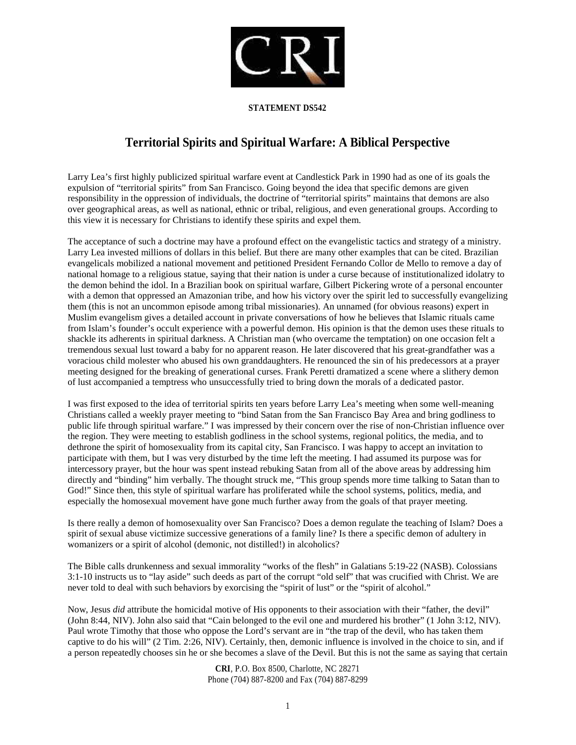

## **STATEMENT DS542**

## **Territorial Spirits and Spiritual Warfare: A Biblical Perspective**

Larry Lea's first highly publicized spiritual warfare event at Candlestick Park in 1990 had as one of its goals the expulsion of "territorial spirits" from San Francisco. Going beyond the idea that specific demons are given responsibility in the oppression of individuals, the doctrine of "territorial spirits" maintains that demons are also over geographical areas, as well as national, ethnic or tribal, religious, and even generational groups. According to this view it is necessary for Christians to identify these spirits and expel them.

The acceptance of such a doctrine may have a profound effect on the evangelistic tactics and strategy of a ministry. Larry Lea invested millions of dollars in this belief. But there are many other examples that can be cited. Brazilian evangelicals mobilized a national movement and petitioned President Fernando Collor de Mello to remove a day of national homage to a religious statue, saying that their nation is under a curse because of institutionalized idolatry to the demon behind the idol. In a Brazilian book on spiritual warfare, Gilbert Pickering wrote of a personal encounter with a demon that oppressed an Amazonian tribe, and how his victory over the spirit led to successfully evangelizing them (this is not an uncommon episode among tribal missionaries). An unnamed (for obvious reasons) expert in Muslim evangelism gives a detailed account in private conversations of how he believes that Islamic rituals came from Islam's founder's occult experience with a powerful demon. His opinion is that the demon uses these rituals to shackle its adherents in spiritual darkness. A Christian man (who overcame the temptation) on one occasion felt a tremendous sexual lust toward a baby for no apparent reason. He later discovered that his great-grandfather was a voracious child molester who abused his own granddaughters. He renounced the sin of his predecessors at a prayer meeting designed for the breaking of generational curses. Frank Peretti dramatized a scene where a slithery demon of lust accompanied a temptress who unsuccessfully tried to bring down the morals of a dedicated pastor.

I was first exposed to the idea of territorial spirits ten years before Larry Lea's meeting when some well-meaning Christians called a weekly prayer meeting to "bind Satan from the San Francisco Bay Area and bring godliness to public life through spiritual warfare." I was impressed by their concern over the rise of non-Christian influence over the region. They were meeting to establish godliness in the school systems, regional politics, the media, and to dethrone the spirit of homosexuality from its capital city, San Francisco. I was happy to accept an invitation to participate with them, but I was very disturbed by the time left the meeting. I had assumed its purpose was for intercessory prayer, but the hour was spent instead rebuking Satan from all of the above areas by addressing him directly and "binding" him verbally. The thought struck me, "This group spends more time talking to Satan than to God!" Since then, this style of spiritual warfare has proliferated while the school systems, politics, media, and especially the homosexual movement have gone much further away from the goals of that prayer meeting.

Is there really a demon of homosexuality over San Francisco? Does a demon regulate the teaching of Islam? Does a spirit of sexual abuse victimize successive generations of a family line? Is there a specific demon of adultery in womanizers or a spirit of alcohol (demonic, not distilled!) in alcoholics?

The Bible calls drunkenness and sexual immorality "works of the flesh" in Galatians 5:19-22 (NASB). Colossians 3:1-10 instructs us to "lay aside" such deeds as part of the corrupt "old self" that was crucified with Christ. We are never told to deal with such behaviors by exorcising the "spirit of lust" or the "spirit of alcohol."

Now, Jesus *did* attribute the homicidal motive of His opponents to their association with their "father, the devil" (John 8:44, NIV). John also said that "Cain belonged to the evil one and murdered his brother" (1 John 3:12, NIV). Paul wrote Timothy that those who oppose the Lord's servant are in "the trap of the devil, who has taken them captive to do his will" (2 Tim. 2:26, NIV). Certainly, then, demonic influence is involved in the choice to sin, and if a person repeatedly chooses sin he or she becomes a slave of the Devil. But this is not the same as saying that certain

> **CRI**, P.O. Box 8500, Charlotte, NC 28271 Phone (704) 887-8200 and Fax (704) 887-8299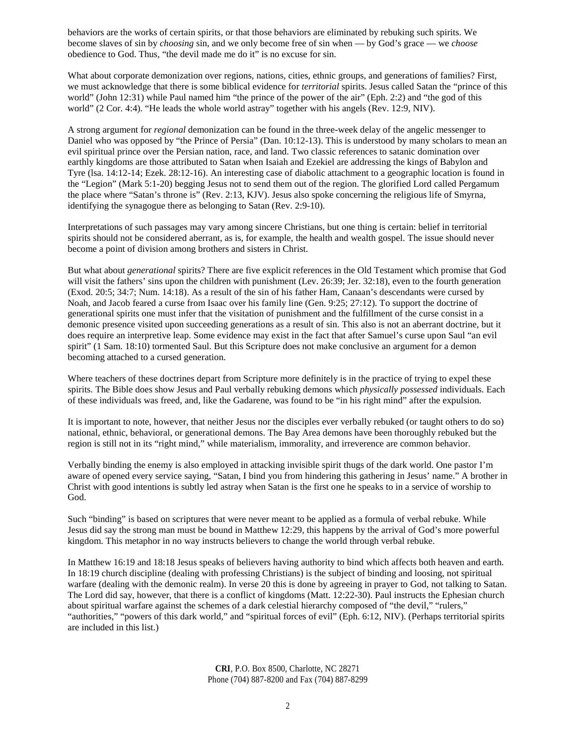behaviors are the works of certain spirits, or that those behaviors are eliminated by rebuking such spirits. We become slaves of sin by *choosing* sin, and we only become free of sin when — by God's grace — we *choose* obedience to God. Thus, "the devil made me do it" is no excuse for sin.

What about corporate demonization over regions, nations, cities, ethnic groups, and generations of families? First, we must acknowledge that there is some biblical evidence for *territorial* spirits. Jesus called Satan the "prince of this world" (John 12:31) while Paul named him "the prince of the power of the air" (Eph. 2:2) and "the god of this world" (2 Cor. 4:4). "He leads the whole world astray" together with his angels (Rev. 12:9, NIV).

A strong argument for *regional* demonization can be found in the three-week delay of the angelic messenger to Daniel who was opposed by "the Prince of Persia" (Dan. 10:12-13). This is understood by many scholars to mean an evil spiritual prince over the Persian nation, race, and land. Two classic references to satanic domination over earthly kingdoms are those attributed to Satan when Isaiah and Ezekiel are addressing the kings of Babylon and Tyre (lsa. 14:12-14; Ezek. 28:12-16). An interesting case of diabolic attachment to a geographic location is found in the "Legion" (Mark 5:1-20) begging Jesus not to send them out of the region. The glorified Lord called Pergamum the place where "Satan's throne is" (Rev. 2:13, KJV). Jesus also spoke concerning the religious life of Smyrna, identifying the synagogue there as belonging to Satan (Rev. 2:9-10).

Interpretations of such passages may vary among sincere Christians, but one thing is certain: belief in territorial spirits should not be considered aberrant, as is, for example, the health and wealth gospel. The issue should never become a point of division among brothers and sisters in Christ.

But what about *generational* spirits? There are five explicit references in the Old Testament which promise that God will visit the fathers' sins upon the children with punishment (Lev. 26:39; Jer. 32:18), even to the fourth generation (Exod. 20:5; 34:7; Num. 14:18). As a result of the sin of his father Ham, Canaan's descendants were cursed by Noah, and Jacob feared a curse from Isaac over his family line (Gen. 9:25; 27:12). To support the doctrine of generational spirits one must infer that the visitation of punishment and the fulfillment of the curse consist in a demonic presence visited upon succeeding generations as a result of sin. This also is not an aberrant doctrine, but it does require an interpretive leap. Some evidence may exist in the fact that after Samuel's curse upon Saul "an evil spirit" (1 Sam. 18:10) tormented Saul. But this Scripture does not make conclusive an argument for a demon becoming attached to a cursed generation.

Where teachers of these doctrines depart from Scripture more definitely is in the practice of trying to expel these spirits. The Bible does show Jesus and Paul verbally rebuking demons which *physically possessed* individuals. Each of these individuals was freed, and, like the Gadarene, was found to be "in his right mind" after the expulsion.

It is important to note, however, that neither Jesus nor the disciples ever verbally rebuked (or taught others to do so) national, ethnic, behavioral, or generational demons. The Bay Area demons have been thoroughly rebuked but the region is still not in its "right mind," while materialism, immorality, and irreverence are common behavior.

Verbally binding the enemy is also employed in attacking invisible spirit thugs of the dark world. One pastor I'm aware of opened every service saying, "Satan, I bind you from hindering this gathering in Jesus' name." A brother in Christ with good intentions is subtly led astray when Satan is the first one he speaks to in a service of worship to God.

Such "binding" is based on scriptures that were never meant to be applied as a formula of verbal rebuke. While Jesus did say the strong man must be bound in Matthew 12:29, this happens by the arrival of God's more powerful kingdom. This metaphor in no way instructs believers to change the world through verbal rebuke.

In Matthew 16:19 and 18:18 Jesus speaks of believers having authority to bind which affects both heaven and earth. In 18:19 church discipline (dealing with professing Christians) is the subject of binding and loosing, not spiritual warfare (dealing with the demonic realm). In verse 20 this is done by agreeing in prayer to God, not talking to Satan. The Lord did say, however, that there is a conflict of kingdoms (Matt. 12:22-30). Paul instructs the Ephesian church about spiritual warfare against the schemes of a dark celestial hierarchy composed of "the devil," "rulers," "authorities," "powers of this dark world," and "spiritual forces of evil" (Eph. 6:12, NIV). (Perhaps territorial spirits are included in this list.)

> **CRI**, P.O. Box 8500, Charlotte, NC 28271 Phone (704) 887-8200 and Fax (704) 887-8299